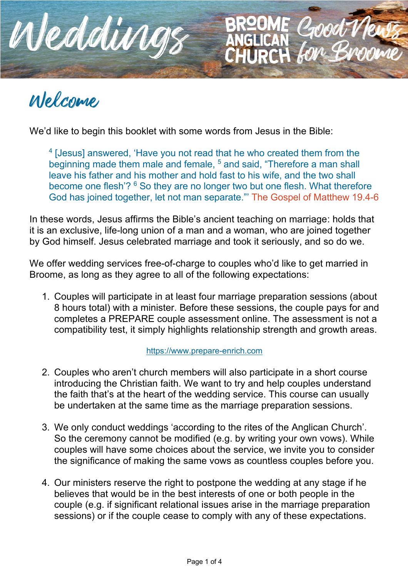

# Welcome

We'd like to begin this booklet with some words from Jesus in the Bible:

<sup>4</sup> [Jesus] answered, 'Have you not read that he who created them from the beginning made them male and female, <sup>5</sup> and said, "Therefore a man shall leave his father and his mother and hold fast to his wife, and the two shall become one flesh'? <sup>6</sup> So they are no longer two but one flesh. What therefore God has joined together, let not man separate."' The Gospel of Matthew 19.4-6

HURCH

In these words, Jesus affirms the Bible's ancient teaching on marriage: holds that it is an exclusive, life-long union of a man and a woman, who are joined together by God himself. Jesus celebrated marriage and took it seriously, and so do we.

We offer wedding services free-of-charge to couples who'd like to get married in Broome, as long as they agree to all of the following expectations:

1. Couples will participate in at least four marriage preparation sessions (about 8 hours total) with a minister. Before these sessions, the couple pays for and completes a PREPARE couple assessment online. The assessment is not a compatibility test, it simply highlights relationship strength and growth areas.

#### https://www.prepare-enrich.com

- 2. Couples who aren't church members will also participate in a short course introducing the Christian faith. We want to try and help couples understand the faith that's at the heart of the wedding service. This course can usually be undertaken at the same time as the marriage preparation sessions.
- 3. We only conduct weddings 'according to the rites of the Anglican Church'. So the ceremony cannot be modified (e.g. by writing your own vows). While couples will have some choices about the service, we invite you to consider the significance of making the same vows as countless couples before you.
- 4. Our ministers reserve the right to postpone the wedding at any stage if he believes that would be in the best interests of one or both people in the couple (e.g. if significant relational issues arise in the marriage preparation sessions) or if the couple cease to comply with any of these expectations.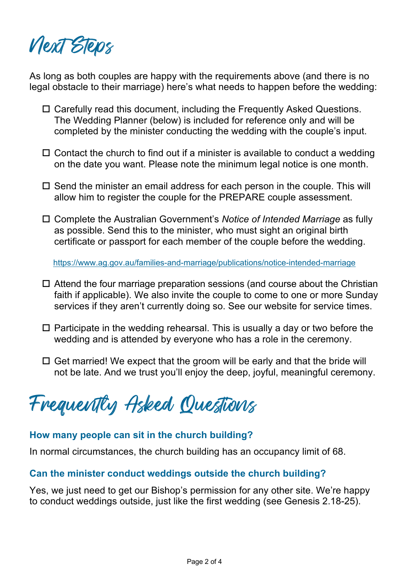Next Steps

As long as both couples are happy with the requirements above (and there is no legal obstacle to their marriage) here's what needs to happen before the wedding:

- $\Box$  Carefully read this document, including the Frequently Asked Questions. The Wedding Planner (below) is included for reference only and will be completed by the minister conducting the wedding with the couple's input.
- $\Box$  Contact the church to find out if a minister is available to conduct a wedding on the date you want. Please note the minimum legal notice is one month.
- $\Box$  Send the minister an email address for each person in the couple. This will allow him to register the couple for the PREPARE couple assessment.
- □ Complete the Australian Government's *Notice of Intended Marriage* as fully as possible. Send this to the minister, who must sight an original birth certificate or passport for each member of the couple before the wedding.

https://www.ag.gov.au/families-and-marriage/publications/notice-intended-marriage

- $\Box$  Attend the four marriage preparation sessions (and course about the Christian faith if applicable). We also invite the couple to come to one or more Sunday services if they aren't currently doing so. See our website for service times.
- $\Box$  Participate in the wedding rehearsal. This is usually a day or two before the wedding and is attended by everyone who has a role in the ceremony.
- $\Box$  Get married! We expect that the groom will be early and that the bride will not be late. And we trust you'll enjoy the deep, joyful, meaningful ceremony.

Frequently Asked Questions

#### **How many people can sit in the church building?**

In normal circumstances, the church building has an occupancy limit of 68.

#### **Can the minister conduct weddings outside the church building?**

Yes, we just need to get our Bishop's permission for any other site. We're happy to conduct weddings outside, just like the first wedding (see Genesis 2.18-25).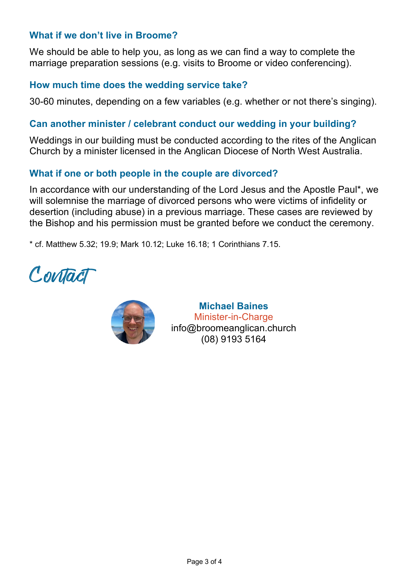# **What if we don't live in Broome?**

We should be able to help you, as long as we can find a way to complete the marriage preparation sessions (e.g. visits to Broome or video conferencing).

## **How much time does the wedding service take?**

30-60 minutes, depending on a few variables (e.g. whether or not there's singing).

#### **Can another minister / celebrant conduct our wedding in your building?**

Weddings in our building must be conducted according to the rites of the Anglican Church by a minister licensed in the Anglican Diocese of North West Australia.

# **What if one or both people in the couple are divorced?**

In accordance with our understanding of the Lord Jesus and the Apostle Paul\*, we will solemnise the marriage of divorced persons who were victims of infidelity or desertion (including abuse) in a previous marriage. These cases are reviewed by the Bishop and his permission must be granted before we conduct the ceremony.

\* cf. Matthew 5.32; 19.9; Mark 10.12; Luke 16.18; 1 Corinthians 7.15.

Contact



**Michael Baines** Minister-in-Charge info@broomeanglican.church (08) 9193 5164